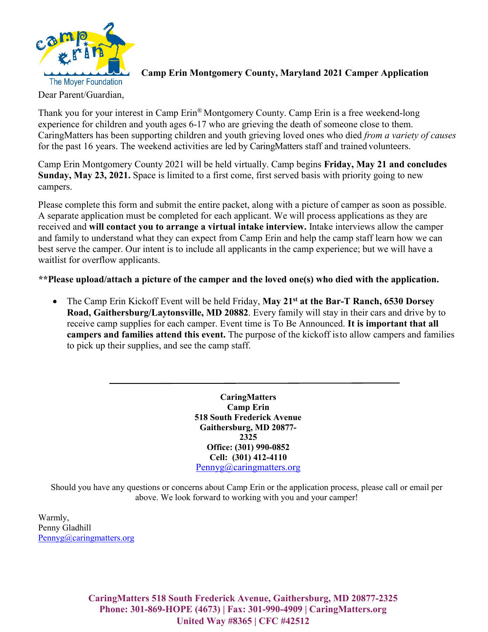

## **Camp Erin Montgomery County, Maryland 2021 Camper Application**

Dear Parent/Guardian,

Thank you for your interest in Camp Erin® Montgomery County. Camp Erin is a free weekend-long experience for children and youth ages 6-17 who are grieving the death of someone close to them. CaringMatters has been supporting children and youth grieving loved ones who died *from a variety of causes*  for the past 16 years. The weekend activities are led by CaringMatters staff and trained volunteers.

Camp Erin Montgomery County 2021 will be held virtually. Camp begins **Friday, May 21 and concludes Sunday, May 23, 2021.** Space is limited to a first come, first served basis with priority going to new campers.

Please complete this form and submit the entire packet, along with a picture of camper as soon as possible. A separate application must be completed for each applicant. We will process applications as they are received and **will contact you to arrange a virtual intake interview.** Intake interviews allow the camper and family to understand what they can expect from Camp Erin and help the camp staff learn how we can best serve the camper. Our intent is to include all applicants in the camp experience; but we will have a waitlist for overflow applicants.

**\*\*Please upload/attach a picture of the camper and the loved one(s) who died with the application.**

• The Camp Erin Kickoff Event will be held Friday, **May 21st at the Bar-T Ranch, 6530 Dorsey Road, Gaithersburg/Laytonsville, MD 20882**. Every family will stay in their cars and drive by to receive camp supplies for each camper. Event time is To Be Announced. **It is important that all campers and families attend this event.** The purpose of the kickoff is to allow campers and families to pick up their supplies, and see the camp staff.

> **CaringMatters Camp Erin 518 South Frederick Avenue Gaithersburg, MD 20877- 2325 Office: (301) 990-0852 Cell: (301) 412-4110**  [Pennyg@caringmatters.org](mailto:Pennyg@caringmatters.org)

Should you have any questions or concerns about Camp Erin or the application process, please call or email per above. We look forward to working with you and your camper!

Warmly, Penny Gladhill Pennyg@caringmatters.org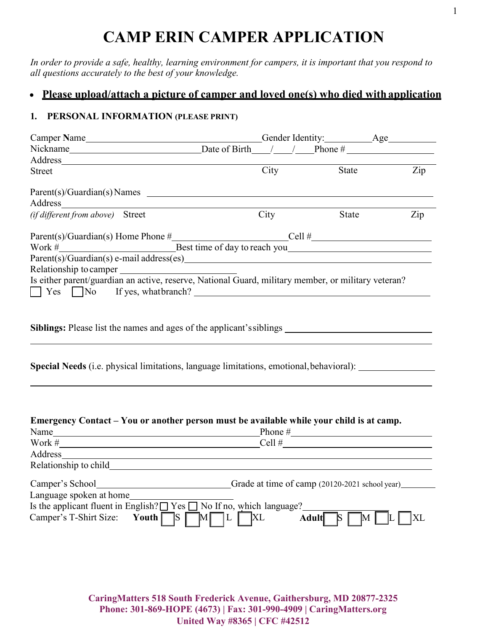# **CAMP ERIN CAMPER APPLICATION**

*In order to provide a safe, healthy, learning environment for campers, it is important that you respond to all questions accurately to the best of your knowledge.* 

# • **Please upload/attach a picture of camper and loved one(s) who died withapplication**

## **1. PERSONAL INFORMATION (PLEASE PRINT)**

| Camper Name                                                                                                              |           |                                         |     |
|--------------------------------------------------------------------------------------------------------------------------|-----------|-----------------------------------------|-----|
| Nickname $\qquad \qquad$ Date of Birth $\qquad \qquad$ Phone #                                                           |           |                                         |     |
|                                                                                                                          |           |                                         |     |
| <b>Street</b>                                                                                                            | City      | State                                   | Zip |
|                                                                                                                          |           |                                         |     |
|                                                                                                                          |           |                                         |     |
| (if different from above) Street                                                                                         | City      | State                                   | Zip |
|                                                                                                                          |           |                                         |     |
| Work $\#$ Best time of day to reach you                                                                                  |           |                                         |     |
|                                                                                                                          |           |                                         |     |
|                                                                                                                          |           |                                         |     |
| Is either parent/guardian an active, reserve, National Guard, military member, or military veteran?                      |           |                                         |     |
| No If yes, what branch?                                                                                                  |           |                                         |     |
| Special Needs (i.e. physical limitations, language limitations, emotional, behavioral):                                  |           |                                         |     |
| Emergency Contact – You or another person must be available while your child is at camp.<br>Name $\qquad \qquad$ Phone # |           |                                         |     |
| Address                                                                                                                  |           |                                         |     |
|                                                                                                                          |           |                                         |     |
| Camper's School Grade at time of camp (20120-2021 school year)                                                           |           |                                         |     |
| Language spoken at home                                                                                                  |           |                                         |     |
| Is the applicant fluent in English? □ Yes □ No If no, which language?____                                                |           |                                         |     |
| Camper's T-Shirt Size: Youth $\Box$ S<br>$M \Box L$ $\Box$                                                               | $\neg$ XL | <b>S</b><br><b>Adult</b><br>$\mathbb M$ | XL  |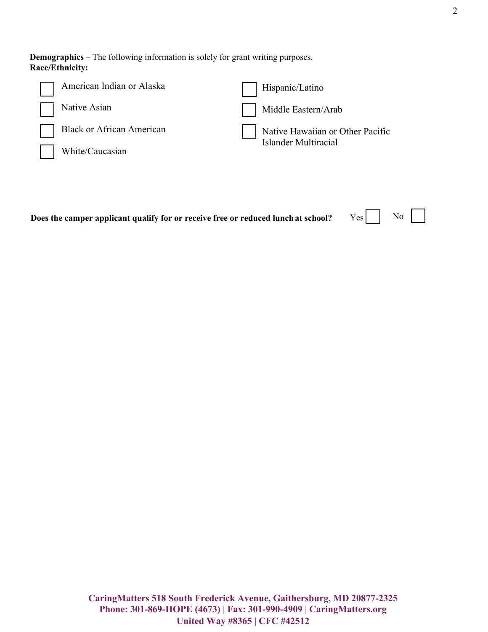**Demographics** – The following information is solely for grant writing purposes. **Race/Ethnicity:**

| American Indian or Alaska                           | Hispanic/Latino                                                 |
|-----------------------------------------------------|-----------------------------------------------------------------|
| Native Asian                                        | Middle Eastern/Arab                                             |
| <b>Black or African American</b><br>White/Caucasian | Native Hawaiian or Other Pacific<br><b>Islander Multiracial</b> |
|                                                     |                                                                 |

| Does the camper applicant qualify for or receive free or reduced lunch at school? | $Yes$ No $\Box$ |  |  |  |
|-----------------------------------------------------------------------------------|-----------------|--|--|--|
|-----------------------------------------------------------------------------------|-----------------|--|--|--|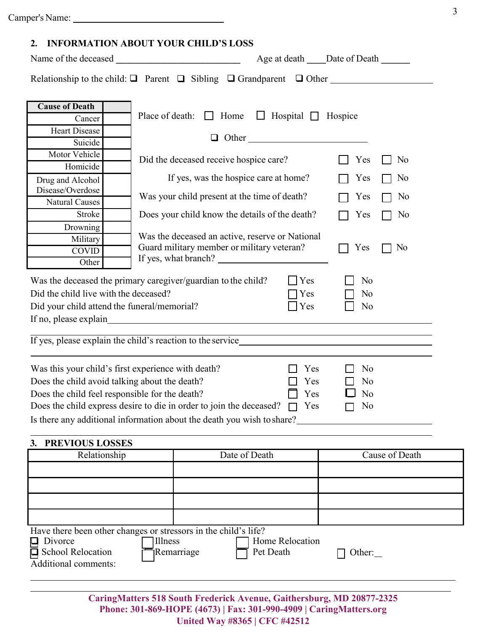| Camper's Name: |  |  |
|----------------|--|--|
|                |  |  |

# **2. INFORMATION ABOUT YOUR CHILD'S LOSS**

|                                                                                         |                                                                                               | Age at death Date of Death                                 |  |  |
|-----------------------------------------------------------------------------------------|-----------------------------------------------------------------------------------------------|------------------------------------------------------------|--|--|
| Relationship to the child: $\Box$ Parent $\Box$ Sibling $\Box$ Grandparent $\Box$ Other |                                                                                               |                                                            |  |  |
|                                                                                         |                                                                                               |                                                            |  |  |
| <b>Cause of Death</b>                                                                   |                                                                                               |                                                            |  |  |
| Place of death:<br>Cancer                                                               | $\Box$ Hospital $\Box$ Hospice<br>$\Box$ Home                                                 |                                                            |  |  |
| <b>Heart Disease</b>                                                                    | $\Box$ Other                                                                                  |                                                            |  |  |
| Suicide<br>Motor Vehicle                                                                |                                                                                               |                                                            |  |  |
| Homicide                                                                                | Did the deceased receive hospice care?                                                        | Yes<br>N <sub>o</sub>                                      |  |  |
| Drug and Alcohol                                                                        | If yes, was the hospice care at home?                                                         | Yes<br>No                                                  |  |  |
| Disease/Overdose                                                                        |                                                                                               |                                                            |  |  |
| Natural Causes                                                                          | Was your child present at the time of death?                                                  | Yes<br>No                                                  |  |  |
| Stroke                                                                                  | Does your child know the details of the death?                                                | Yes<br>No                                                  |  |  |
| Drowning                                                                                |                                                                                               |                                                            |  |  |
| Military                                                                                | Was the deceased an active, reserve or National<br>Guard military member or military veteran? | Yes<br>No                                                  |  |  |
| <b>COVID</b>                                                                            |                                                                                               |                                                            |  |  |
| Other                                                                                   |                                                                                               |                                                            |  |  |
| Was the deceased the primary caregiver/guardian to the child?                           | $\Box$ Yes                                                                                    | N <sub>o</sub>                                             |  |  |
| Did the child live with the deceased?                                                   | $7$ Yes                                                                                       | No                                                         |  |  |
| Did your child attend the funeral/memorial?                                             | $\Box$ Yes                                                                                    | N <sub>o</sub>                                             |  |  |
|                                                                                         |                                                                                               |                                                            |  |  |
|                                                                                         |                                                                                               | <u> 1989 - Johann Barn, amerikansk politiker (d. 1989)</u> |  |  |
|                                                                                         |                                                                                               |                                                            |  |  |
| Was this your child's first experience with death?                                      | Yes                                                                                           | No                                                         |  |  |
| Does the child avoid talking about the death?                                           | Yes                                                                                           | N <sub>o</sub>                                             |  |  |
| Does the child feel responsible for the death?                                          | Yes                                                                                           | No                                                         |  |  |
| Does the child express desire to die in order to join the deceased?                     | $\Box$ Yes                                                                                    | No                                                         |  |  |
| Is there any additional information about the death you wish to share?                  |                                                                                               |                                                            |  |  |
|                                                                                         |                                                                                               |                                                            |  |  |
| 3. PREVIOUS LOSSES                                                                      |                                                                                               |                                                            |  |  |
| Relationship                                                                            | Date of Death                                                                                 | Cause of Death                                             |  |  |
|                                                                                         |                                                                                               |                                                            |  |  |
|                                                                                         |                                                                                               |                                                            |  |  |
|                                                                                         |                                                                                               |                                                            |  |  |
|                                                                                         |                                                                                               |                                                            |  |  |
| Have there been other changes or stressors in the child's life?                         |                                                                                               |                                                            |  |  |
| Illness<br>Divorce<br>╚                                                                 | Home Relocation                                                                               |                                                            |  |  |
| School Relocation                                                                       | Remarriage<br>Pet Death                                                                       | Other:                                                     |  |  |
| <b>Additional comments:</b>                                                             |                                                                                               |                                                            |  |  |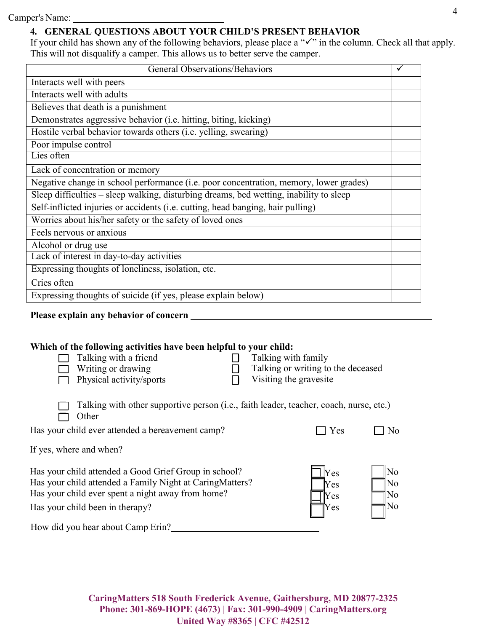## **4. GENERAL QUESTIONS ABOUT YOUR CHILD'S PRESENT BEHAVIOR**

If your child has shown any of the following behaviors, please place a " $\checkmark$ " in the column. Check all that apply. This will not disqualify a camper. This allows us to better serve the camper.

| General Observations/Behaviors                                                         |  |
|----------------------------------------------------------------------------------------|--|
| Interacts well with peers                                                              |  |
| Interacts well with adults                                                             |  |
| Believes that death is a punishment                                                    |  |
| Demonstrates aggressive behavior (i.e. hitting, biting, kicking)                       |  |
| Hostile verbal behavior towards others (i.e. yelling, swearing)                        |  |
| Poor impulse control                                                                   |  |
| Lies often                                                                             |  |
| Lack of concentration or memory                                                        |  |
| Negative change in school performance (i.e. poor concentration, memory, lower grades)  |  |
| Sleep difficulties – sleep walking, disturbing dreams, bed wetting, inability to sleep |  |
| Self-inflicted injuries or accidents (i.e. cutting, head banging, hair pulling)        |  |
| Worries about his/her safety or the safety of loved ones                               |  |
| Feels nervous or anxious                                                               |  |
| Alcohol or drug use                                                                    |  |
| Lack of interest in day-to-day activities                                              |  |
| Expressing thoughts of loneliness, isolation, etc.                                     |  |
| Cries often                                                                            |  |
| Expressing thoughts of suicide (if yes, please explain below)                          |  |
|                                                                                        |  |

## **Please explain any behavior of concern**

## **Which of the following activities have been helpful to your child:**

|                                   | Talking with a friend<br>Writing or drawing                                                                                                                                                               |  | Talking with family<br>Talking or writing to the deceased |                          |                      |
|-----------------------------------|-----------------------------------------------------------------------------------------------------------------------------------------------------------------------------------------------------------|--|-----------------------------------------------------------|--------------------------|----------------------|
|                                   | Physical activity/sports                                                                                                                                                                                  |  | Visiting the gravesite                                    |                          |                      |
|                                   | Talking with other supportive person (i.e., faith leader, teacher, coach, nurse, etc.)<br>Other                                                                                                           |  |                                                           |                          |                      |
|                                   | Has your child ever attended a bereavement camp?                                                                                                                                                          |  |                                                           | Yes                      | No                   |
|                                   | If yes, where and when?                                                                                                                                                                                   |  |                                                           |                          |                      |
|                                   | Has your child attended a Good Grief Group in school?<br>Has your child attended a Family Night at CaringMatters?<br>Has your child ever spent a night away from home?<br>Has your child been in therapy? |  |                                                           | Yes<br>Yes<br>Yes<br>Yes | No<br>No<br>No<br>No |
| How did you hear about Camp Erin? |                                                                                                                                                                                                           |  |                                                           |                          |                      |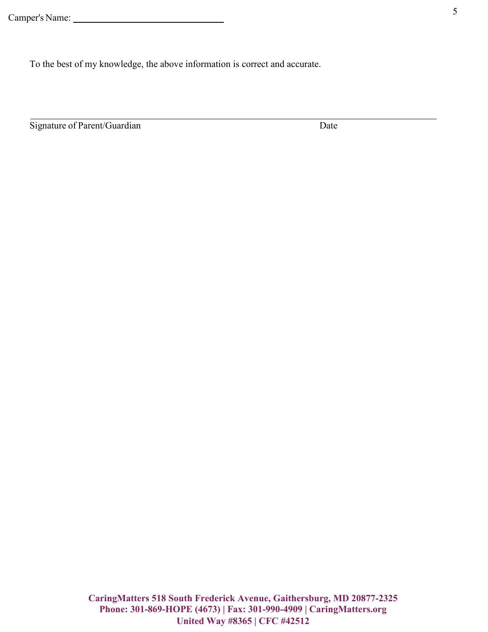To the best of my knowledge, the above information is correct and accurate.

Signature of Parent/Guardian Date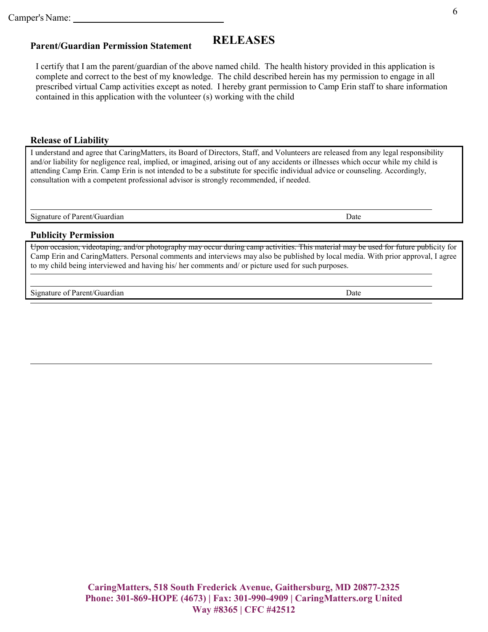# **Parent/Guardian Permission Statement RELEASES**

I certify that I am the parent/guardian of the above named child. The health history provided in this application is complete and correct to the best of my knowledge. The child described herein has my permission to engage in all prescribed virtual Camp activities except as noted. I hereby grant permission to Camp Erin staff to share information contained in this application with the volunteer (s) working with the child

#### **Release of Liability**

I understand and agree that CaringMatters, its Board of Directors, Staff, and Volunteers are released from any legal responsibility and/or liability for negligence real, implied, or imagined, arising out of any accidents or illnesses which occur while my child is attending Camp Erin. Camp Erin is not intended to be a substitute for specific individual advice or counseling. Accordingly, consultation with a competent professional advisor is strongly recommended, if needed.

Signature of Parent/Guardian Date **Date of Parent/Guardian** 

#### **Publicity Permission**

Upon occasion, videotaping, and/or photography may occur during camp activities. This material may be used for future publicity for Camp Erin and CaringMatters. Personal comments and interviews may also be published by local media. With prior approval, I agree to my child being interviewed and having his/ her comments and/ or picture used for such purposes.

Signature of Parent/Guardian Date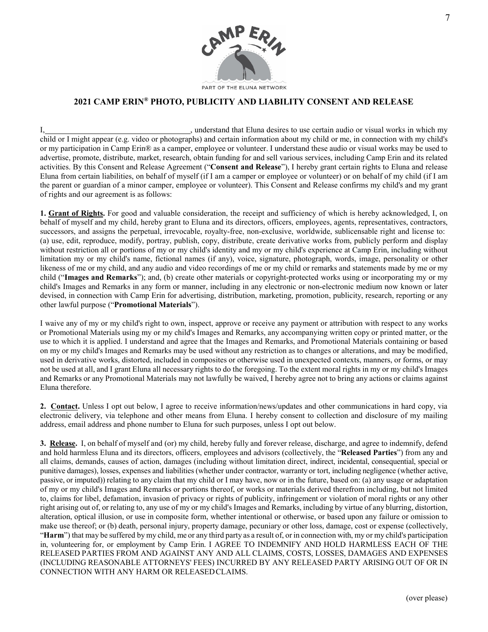

### **2021 CAMP ERIN® PHOTO, PUBLICITY AND LIABILITY CONSENT AND RELEASE**

I, the standard that Eluna desires to use certain audio or visual works in which my child or I might appear (e.g. video or photographs) and certain information about my child or me, in connection with my child's or my participation in Camp Erin® as a camper, employee or volunteer. I understand these audio or visual works may be used to advertise, promote, distribute, market, research, obtain funding for and sell various services, including Camp Erin and its related activities. By this Consent and Release Agreement ("**Consent and Release**"), I hereby grant certain rights to Eluna and release Eluna from certain liabilities, on behalf of myself (if I am a camper or employee or volunteer) or on behalf of my child (if I am the parent or guardian of a minor camper, employee or volunteer). This Consent and Release confirms my child's and my grant of rights and our agreement is as follows:

**1. Grant of Rights.** For good and valuable consideration, the receipt and sufficiency of which is hereby acknowledged, I, on behalf of myself and my child, hereby grant to Eluna and its directors, officers, employees, agents, representatives, contractors, successors, and assigns the perpetual, irrevocable, royalty-free, non-exclusive, worldwide, sublicensable right and license to: (a) use, edit, reproduce, modify, portray, publish, copy, distribute, create derivative works from, publicly perform and display without restriction all or portions of my or my child's identity and my or my child's experience at Camp Erin, including without limitation my or my child's name, fictional names (if any), voice, signature, photograph, words, image, personality or other likeness of me or my child, and any audio and video recordings of me or my child or remarks and statements made by me or my child ("**Images and Remarks**"); and, (b) create other materials or copyright-protected works using or incorporating my or my child's Images and Remarks in any form or manner, including in any electronic or non-electronic medium now known or later devised, in connection with Camp Erin for advertising, distribution, marketing, promotion, publicity, research, reporting or any other lawful purpose ("**Promotional Materials**").

I waive any of my or my child's right to own, inspect, approve or receive any payment or attribution with respect to any works or Promotional Materials using my or my child's Images and Remarks, any accompanying written copy or printed matter, or the use to which it is applied. I understand and agree that the Images and Remarks, and Promotional Materials containing or based on my or my child's Images and Remarks may be used without any restriction as to changes or alterations, and may be modified, used in derivative works, distorted, included in composites or otherwise used in unexpected contexts, manners, or forms, or may not be used at all, and I grant Eluna all necessary rights to do the foregoing. To the extent moral rights in my or my child's Images and Remarks or any Promotional Materials may not lawfully be waived, I hereby agree not to bring any actions or claims against Eluna therefore.

**2. Contact.** Unless I opt out below, I agree to receive information/news/updates and other communications in hard copy, via electronic delivery, via telephone and other means from Eluna. I hereby consent to collection and disclosure of my mailing address, email address and phone number to Eluna for such purposes, unless I opt out below.

**3. Release.** I, on behalf of myself and (or) my child, hereby fully and forever release, discharge, and agree to indemnify, defend and hold harmless Eluna and its directors, officers, employees and advisors (collectively, the "**Released Parties**") from any and all claims, demands, causes of action, damages (including without limitation direct, indirect, incidental, consequential, special or punitive damages), losses, expenses and liabilities(whether under contractor, warranty or tort, including negligence (whether active, passive, or imputed)) relating to any claim that my child or I may have, now or in the future, based on: (a) any usage or adaptation of my or my child's Images and Remarks or portions thereof, or works or materials derived therefrom including, but not limited to, claims for libel, defamation, invasion of privacy or rights of publicity, infringement or violation of moral rights or any other right arising out of, or relating to, any use of my or my child's Images and Remarks, including by virtue of any blurring, distortion, alteration, optical illusion, or use in composite form, whether intentional or otherwise, or based upon any failure or omission to make use thereof; or (b) death, personal injury, property damage, pecuniary or other loss, damage, cost or expense (collectively, "**Harm**") that may be suffered by my child, me or any third party as a result of, or in connection with, my or my child's participation in, volunteering for, or employment by Camp Erin. I AGREE TO INDEMNIFY AND HOLD HARMLESS EACH OF THE RELEASED PARTIES FROM AND AGAINST ANY AND ALL CLAIMS, COSTS, LOSSES, DAMAGES AND EXPENSES (INCLUDING REASONABLE ATTORNEYS' FEES) INCURRED BY ANY RELEASED PARTY ARISING OUT OF OR IN CONNECTION WITH ANY HARM OR RELEASEDCLAIMS.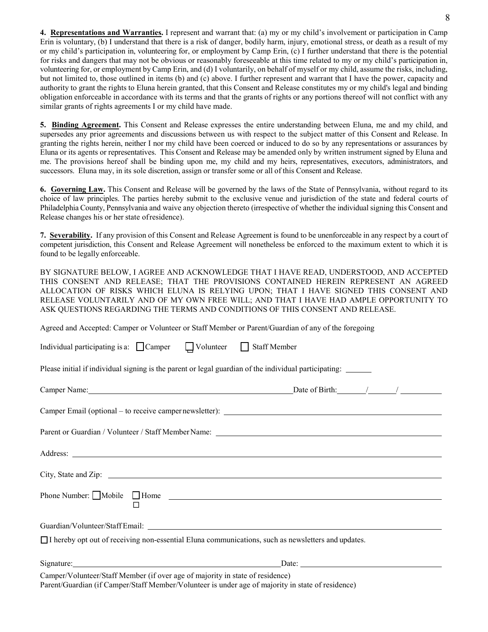**4. Representations and Warranties.** I represent and warrant that: (a) my or my child's involvement or participation in Camp Erin is voluntary, (b) I understand that there is a risk of danger, bodily harm, injury, emotional stress, or death as a result of my or my child's participation in, volunteering for, or employment by Camp Erin, (c) I further understand that there is the potential for risks and dangers that may not be obvious or reasonably foreseeable at this time related to my or my child's participation in, volunteering for, or employment by Camp Erin, and (d) I voluntarily, on behalf of myself or my child, assume the risks, including, but not limited to, those outlined in items (b) and (c) above. I further represent and warrant that I have the power, capacity and authority to grant the rights to Eluna herein granted, that this Consent and Release constitutes my or my child's legal and binding obligation enforceable in accordance with its terms and that the grants of rights or any portions thereof will not conflict with any similar grants of rights agreements I or my child have made.

**5. Binding Agreement.** This Consent and Release expresses the entire understanding between Eluna, me and my child, and supersedes any prior agreements and discussions between us with respect to the subject matter of this Consent and Release. In granting the rights herein, neither I nor my child have been coerced or induced to do so by any representations or assurances by Eluna or its agents or representatives. This Consent and Release may be amended only by written instrument signed by Eluna and me. The provisions hereof shall be binding upon me, my child and my heirs, representatives, executors, administrators, and successors. Eluna may, in its sole discretion, assign or transfer some or all of this Consent and Release.

**6. Governing Law.** This Consent and Release will be governed by the laws of the State of Pennsylvania, without regard to its choice of law principles. The parties hereby submit to the exclusive venue and jurisdiction of the state and federal courts of Philadelphia County, Pennsylvania and waive any objection thereto (irrespective of whether the individual signing this Consent and Release changes his or her state ofresidence).

**7. Severability.** If any provision of this Consent and Release Agreement is found to be unenforceable in any respect by a court of competent jurisdiction, this Consent and Release Agreement will nonetheless be enforced to the maximum extent to which it is found to be legally enforceable.

BY SIGNATURE BELOW, I AGREE AND ACKNOWLEDGE THAT I HAVE READ, UNDERSTOOD, AND ACCEPTED THIS CONSENT AND RELEASE; THAT THE PROVISIONS CONTAINED HEREIN REPRESENT AN AGREED ALLOCATION OF RISKS WHICH ELUNA IS RELYING UPON; THAT I HAVE SIGNED THIS CONSENT AND RELEASE VOLUNTARILY AND OF MY OWN FREE WILL; AND THAT I HAVE HAD AMPLE OPPORTUNITY TO ASK QUESTIONS REGARDING THE TERMS AND CONDITIONS OF THIS CONSENT AND RELEASE.

Agreed and Accepted: Camper or Volunteer or Staff Member or Parent/Guardian of any of the foregoing

| Individual participating is a: $\Box$ Camper $\Box$ Volunteer $\Box$ Staff Member                            |  |
|--------------------------------------------------------------------------------------------------------------|--|
| Please initial if individual signing is the parent or legal guardian of the individual participating: ______ |  |
|                                                                                                              |  |
|                                                                                                              |  |
|                                                                                                              |  |
|                                                                                                              |  |
|                                                                                                              |  |
|                                                                                                              |  |
|                                                                                                              |  |
| $\Box$ I hereby opt out of receiving non-essential Eluna communications, such as newsletters and updates.    |  |
| Signature: Date: Date: Date:                                                                                 |  |
| Camper/Volunteer/Staff Member (if over age of majority in state of residence)                                |  |

Parent/Guardian (if Camper/Staff Member/Volunteer is under age of majority in state of residence)